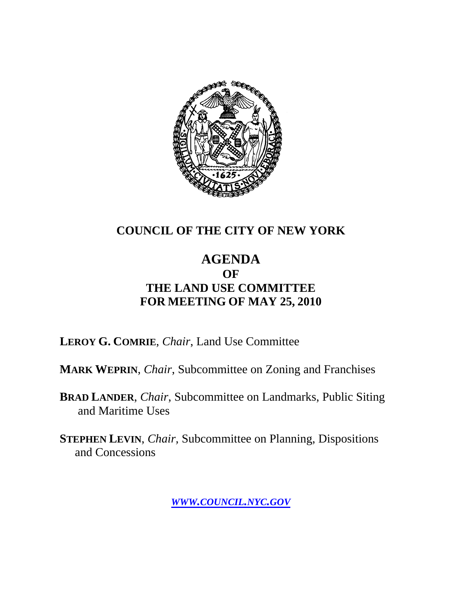

### **COUNCIL OF THE CITY OF NEW YORK**

### **AGENDA OF THE LAND USE COMMITTEE FOR MEETING OF MAY 25, 2010**

**LEROY G. COMRIE**, *Chair*, Land Use Committee

**MARK WEPRIN**, *Chair*, Subcommittee on Zoning and Franchises

**BRAD LANDER**, *Chair*, Subcommittee on Landmarks, Public Siting and Maritime Uses

**STEPHEN LEVIN**, *Chair,* Subcommittee on Planning, Dispositions and Concessions

*WWW.COUNCIL.NYC.GOV*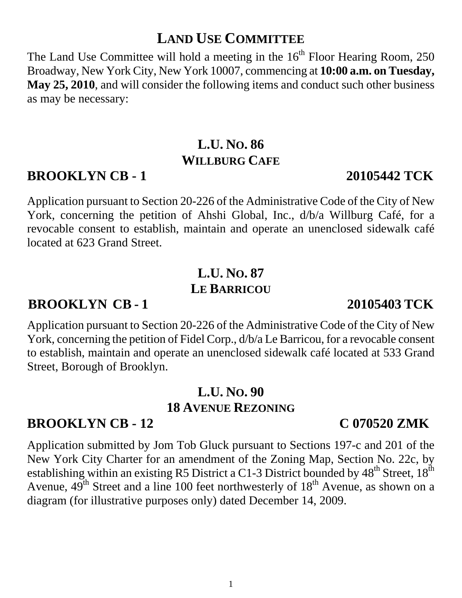# **LAND USE COMMITTEE**

The Land Use Committee will hold a meeting in the  $16<sup>th</sup>$  Floor Hearing Room, 250 Broadway, New York City, New York 10007, commencing at **10:00 a.m. on Tuesday, May 25, 2010**, and will consider the following items and conduct such other business as may be necessary:

## **L.U. NO. 86 WILLBURG CAFE**

### **BROOKLYN CB - 1 20105442 TCK**

Application pursuant to Section 20-226 of the Administrative Code of the City of New York, concerning the petition of Ahshi Global, Inc., d/b/a Willburg Café, for a revocable consent to establish, maintain and operate an unenclosed sidewalk café located at 623 Grand Street.

# **L.U. NO. 87 LE BARRICOU**

### **BROOKLYN CB - 1 20105403 TCK**

Application pursuant to Section 20-226 of the Administrative Code of the City of New York, concerning the petition of Fidel Corp., d/b/a Le Barricou, for a revocable consent to establish, maintain and operate an unenclosed sidewalk café located at 533 Grand Street, Borough of Brooklyn.

# **L.U. NO. 90 18 AVENUE REZONING**

### **BROOKLYN CB - 12 C 070520 ZMK**

Application submitted by Jom Tob Gluck pursuant to Sections 197-c and 201 of the New York City Charter for an amendment of the Zoning Map, Section No. 22c, by establishing within an existing R5 District a C1-3 District bounded by  $48^{th}$  Street,  $18^{th}$ Avenue,  $49^{\text{th}}$  Street and a line 100 feet northwesterly of  $18^{\text{th}}$  Avenue, as shown on a diagram (for illustrative purposes only) dated December 14, 2009.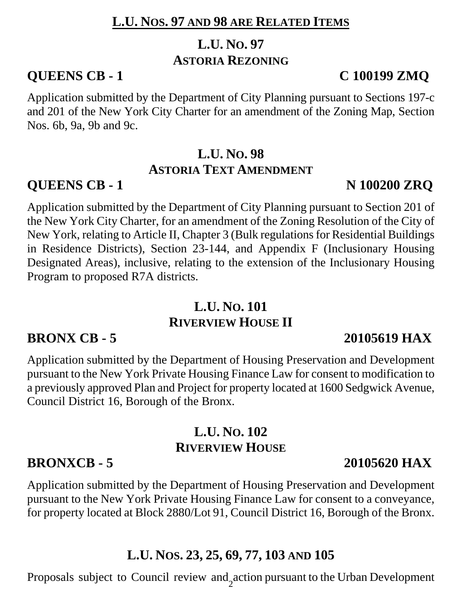### **L.U. NOS. 97 AND 98 ARE RELATED ITEMS**

# **L.U. NO. 97 ASTORIA REZONING**

### **QUEENS CB - 1 C 100199 ZMQ**

Application submitted by the Department of City Planning pursuant to Sections 197-c and 201 of the New York City Charter for an amendment of the Zoning Map, Section Nos. 6b, 9a, 9b and 9c.

## **L.U. NO. 98 ASTORIA TEXT AMENDMENT**

# **QUEENS CB - 1** N 100200 ZRQ

Application submitted by the Department of City Planning pursuant to Section 201 of the New York City Charter, for an amendment of the Zoning Resolution of the City of New York, relating to Article II, Chapter 3 (Bulk regulations for Residential Buildings in Residence Districts), Section 23-144, and Appendix F (Inclusionary Housing Designated Areas), inclusive, relating to the extension of the Inclusionary Housing Program to proposed R7A districts.

## **L.U. NO. 101 RIVERVIEW HOUSE II**

# **BRONX CB - 5 20105619 HAX**

Application submitted by the Department of Housing Preservation and Development pursuant to the New York Private Housing Finance Law for consent to modification to a previously approved Plan and Project for property located at 1600 Sedgwick Avenue, Council District 16, Borough of the Bronx.

# **L.U. NO. 102 RIVERVIEW HOUSE**

Application submitted by the Department of Housing Preservation and Development pursuant to the New York Private Housing Finance Law for consent to a conveyance, for property located at Block 2880/Lot 91, Council District 16, Borough of the Bronx.

### **L.U. NOS. 23, 25, 69, 77, 103 AND 105**

Proposals subject to Council review and action pursuant to the Urban Development

# **BRONXCB - 5** 20105620 HAX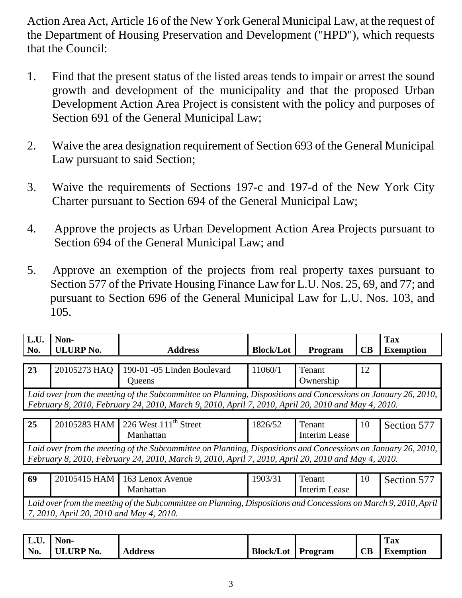Action Area Act, Article 16 of the New York General Municipal Law, at the request of the Department of Housing Preservation and Development ("HPD"), which requests that the Council:

- 1. Find that the present status of the listed areas tends to impair or arrest the sound growth and development of the municipality and that the proposed Urban Development Action Area Project is consistent with the policy and purposes of Section 691 of the General Municipal Law;
- 2. Waive the area designation requirement of Section 693 of the General Municipal Law pursuant to said Section;
- 3. Waive the requirements of Sections 197-c and 197-d of the New York City Charter pursuant to Section 694 of the General Municipal Law;
- 4. Approve the projects as Urban Development Action Area Projects pursuant to Section 694 of the General Municipal Law; and
- 5. Approve an exemption of the projects from real property taxes pursuant to Section 577 of the Private Housing Finance Law for L.U. Nos. 25, 69, and 77; and pursuant to Section 696 of the General Municipal Law for L.U. Nos. 103, and 105.

| L.U.<br>No.                                                                                                                                                                                                         | Non-<br><b>ULURP No.</b> | <b>Address</b>              | <b>Block/Lot</b> | Program              | <b>CB</b> | <b>Tax</b><br><b>Exemption</b> |  |
|---------------------------------------------------------------------------------------------------------------------------------------------------------------------------------------------------------------------|--------------------------|-----------------------------|------------------|----------------------|-----------|--------------------------------|--|
|                                                                                                                                                                                                                     |                          |                             |                  |                      |           |                                |  |
| 23                                                                                                                                                                                                                  | 20105273 HAQ             | 190-01 -05 Linden Boulevard | 11060/1          | Tenant               | 12        |                                |  |
|                                                                                                                                                                                                                     |                          | Queens                      |                  | Ownership            |           |                                |  |
| Laid over from the meeting of the Subcommittee on Planning, Dispositions and Concessions on January 26, 2010,<br>February 8, 2010, February 24, 2010, March 9, 2010, April 7, 2010, April 20, 2010 and May 4, 2010. |                          |                             |                  |                      |           |                                |  |
|                                                                                                                                                                                                                     |                          |                             |                  |                      |           |                                |  |
| 25                                                                                                                                                                                                                  | 20105283 HAM             | 226 West $111th$ Street     | 1826/52          | Tenant               | 10        | Section 577                    |  |
|                                                                                                                                                                                                                     |                          | Manhattan                   |                  | <b>Interim Lease</b> |           |                                |  |
| Laid over from the meeting of the Subcommittee on Planning, Dispositions and Concessions on January 26, 2010,                                                                                                       |                          |                             |                  |                      |           |                                |  |
| February 8, 2010, February 24, 2010, March 9, 2010, April 7, 2010, April 20, 2010 and May 4, 2010.                                                                                                                  |                          |                             |                  |                      |           |                                |  |
|                                                                                                                                                                                                                     |                          |                             |                  |                      |           |                                |  |
| 69                                                                                                                                                                                                                  | 20105415 HAM             | 163 Lenox Avenue            | 1903/31          | Tenant               | 10        | Section 577                    |  |
|                                                                                                                                                                                                                     |                          | Manhattan                   |                  | <b>Interim Lease</b> |           |                                |  |
| Laid over from the meeting of the Subcommittee on Planning, Dispositions and Concessions on March 9, 2010, April                                                                                                    |                          |                             |                  |                      |           |                                |  |

*7, 2010, April 20, 2010 and May 4, 2010.* 

| L.U. | l Non-        |                |                          |    | <b>Tax</b> |
|------|---------------|----------------|--------------------------|----|------------|
|      | No. ULURP No. | <b>Address</b> | <b>Block/Lot</b> Program | CB | Exemption  |